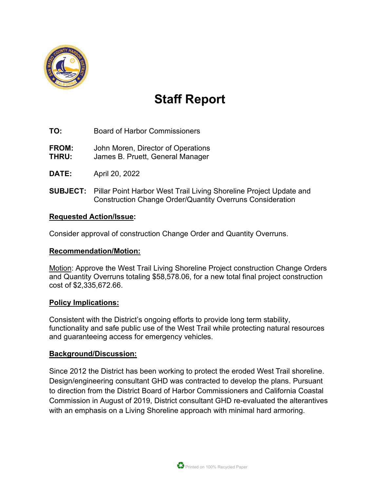

# **Staff Report**

- **TO:** Board of Harbor Commissioners
- **FROM:** John Moren, Director of Operations
- **THRU:** James B. Pruett, General Manager
- **DATE:** April 20, 2022
- **SUBJECT:** Pillar Point Harbor West Trail Living Shoreline Project Update and Construction Change Order/Quantity Overruns Consideration

#### **Requested Action/Issue:**

Consider approval of construction Change Order and Quantity Overruns.

#### **Recommendation/Motion:**

Motion: Approve the West Trail Living Shoreline Project construction Change Orders and Quantity Overruns totaling \$58,578.06, for a new total final project construction cost of \$2,335,672.66.

#### **Policy Implications:**

Consistent with the District's ongoing efforts to provide long term stability, functionality and safe public use of the West Trail while protecting natural resources and guaranteeing access for emergency vehicles.

#### **Background/Discussion:**

Since 2012 the District has been working to protect the eroded West Trail shoreline. Design/engineering consultant GHD was contracted to develop the plans. Pursuant to direction from the District Board of Harbor Commissioners and California Coastal Commission in August of 2019, District consultant GHD re-evaluated the alterantives with an emphasis on a Living Shoreline approach with minimal hard armoring.

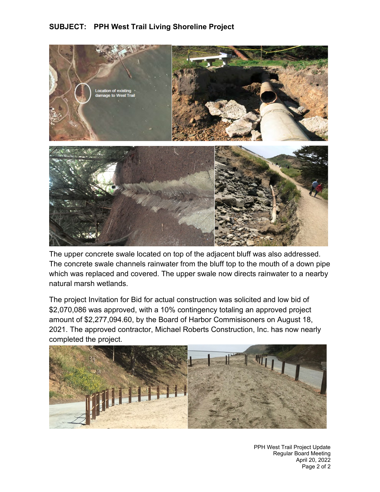### **SUBJECT: PPH West Trail Living Shoreline Project**



The upper concrete swale located on top of the adjacent bluff was also addressed. The concrete swale channels rainwater from the bluff top to the mouth of a down pipe which was replaced and covered. The upper swale now directs rainwater to a nearby natural marsh wetlands.

The project Invitation for Bid for actual construction was solicited and low bid of \$2,070,086 was approved, with a 10% contingency totaling an approved project amount of \$2,277,094.60, by the Board of Harbor Commisisoners on August 18, 2021. The approved contractor, Michael Roberts Construction, Inc. has now nearly completed the project.



PPH West Trail Project Update Regular Board Meeting April 20, 2022 Page 2 of 2